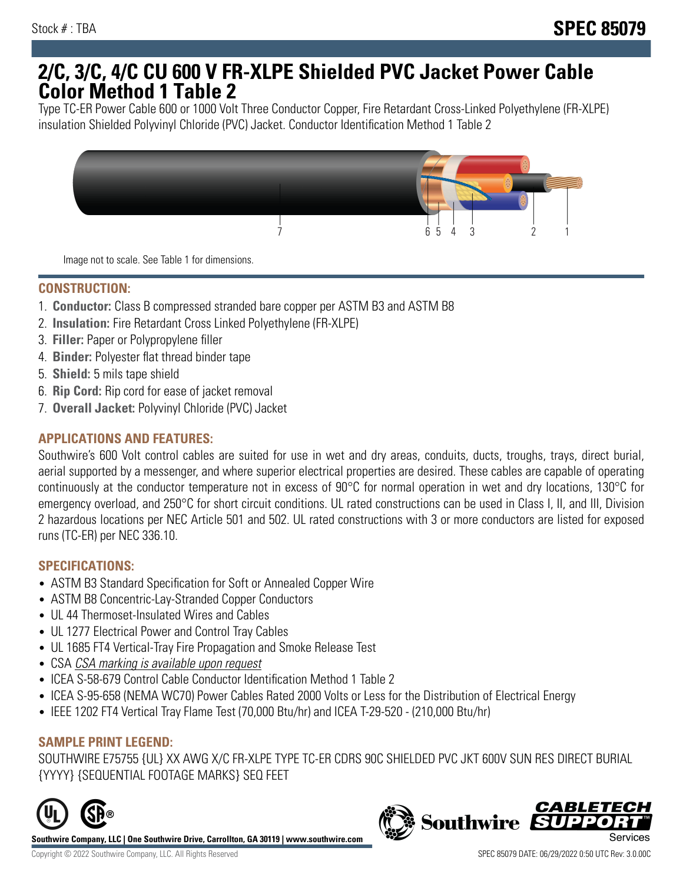# **2/C, 3/C, 4/C CU 600 V FR-XLPE Shielded PVC Jacket Power Cable Color Method 1 Table 2**

Type TC-ER Power Cable 600 or 1000 Volt Three Conductor Copper, Fire Retardant Cross-Linked Polyethylene (FR-XLPE) insulation Shielded Polyvinyl Chloride (PVC) Jacket. Conductor Identification Method 1 Table 2



Image not to scale. See Table 1 for dimensions.

### **CONSTRUCTION:**

- 1. **Conductor:** Class B compressed stranded bare copper per ASTM B3 and ASTM B8
- 2. **Insulation:** Fire Retardant Cross Linked Polyethylene (FR-XLPE)
- 3. **Filler:** Paper or Polypropylene filler
- 4. **Binder:** Polyester flat thread binder tape
- 5. **Shield:** 5 mils tape shield
- 6. **Rip Cord:** Rip cord for ease of jacket removal
- 7. **Overall Jacket:** Polyvinyl Chloride (PVC) Jacket

### **APPLICATIONS AND FEATURES:**

Southwire's 600 Volt control cables are suited for use in wet and dry areas, conduits, ducts, troughs, trays, direct burial, aerial supported by a messenger, and where superior electrical properties are desired. These cables are capable of operating continuously at the conductor temperature not in excess of 90°C for normal operation in wet and dry locations, 130°C for emergency overload, and 250°C for short circuit conditions. UL rated constructions can be used in Class I, II, and III, Division 2 hazardous locations per NEC Article 501 and 502. UL rated constructions with 3 or more conductors are listed for exposed runs (TC-ER) per NEC 336.10.

## **SPECIFICATIONS:**

- ASTM B3 Standard Specification for Soft or Annealed Copper Wire
- ASTM B8 Concentric-Lay-Stranded Copper Conductors
- UL 44 Thermoset-Insulated Wires and Cables
- UL 1277 Electrical Power and Control Tray Cables
- UL 1685 FT4 Vertical-Tray Fire Propagation and Smoke Release Test
- CSA CSA marking is available upon request
- ICEA S-58-679 Control Cable Conductor Identification Method 1 Table 2
- ICEA S-95-658 (NEMA WC70) Power Cables Rated 2000 Volts or Less for the Distribution of Electrical Energy
- IEEE 1202 FT4 Vertical Tray Flame Test (70,000 Btu/hr) and ICEA T-29-520 (210,000 Btu/hr)

#### **SAMPLE PRINT LEGEND:**

SOUTHWIRE E75755 {UL} XX AWG X/C FR-XLPE TYPE TC-ER CDRS 90C SHIELDED PVC JKT 600V SUN RES DIRECT BURIAL {YYYY} {SEQUENTIAL FOOTAGE MARKS} SEQ FEET



**Southwire Company, LLC | One Southwire Drive, Carrollton, GA 30119 | www.southwire.com**